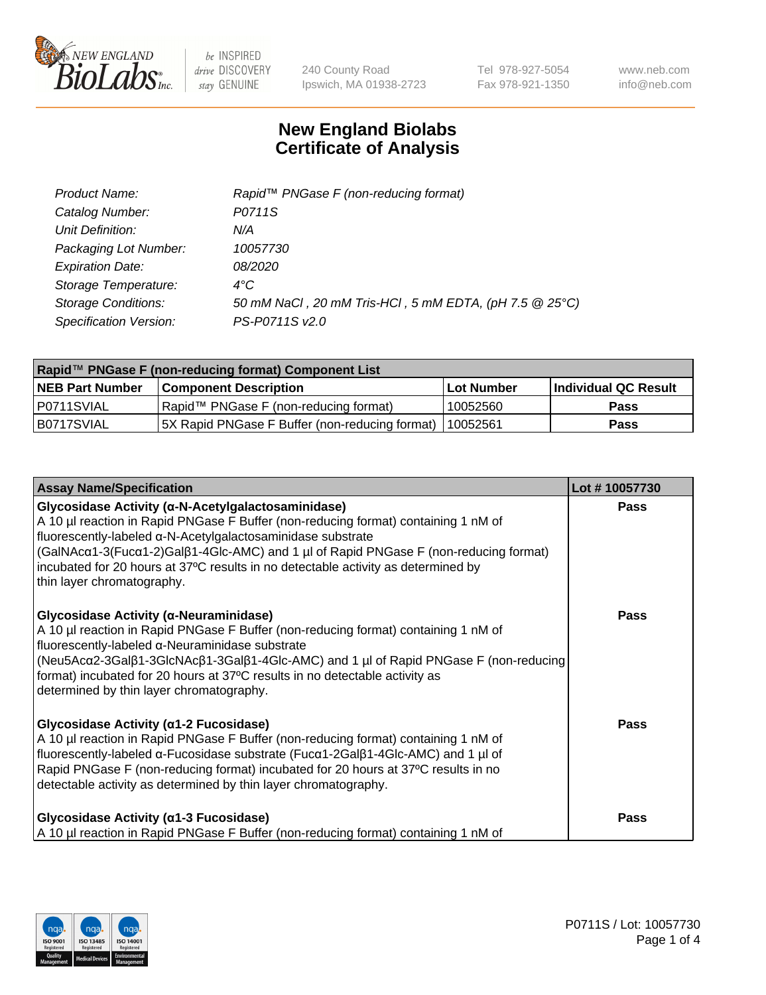

240 County Road Ipswich, MA 01938-2723 Tel 978-927-5054 Fax 978-921-1350 www.neb.com info@neb.com

## **New England Biolabs Certificate of Analysis**

| Product Name:              | Rapid <sup>™</sup> PNGase F (non-reducing format)      |
|----------------------------|--------------------------------------------------------|
| Catalog Number:            | P0711S                                                 |
| Unit Definition:           | N/A                                                    |
| Packaging Lot Number:      | 10057730                                               |
| <b>Expiration Date:</b>    | 08/2020                                                |
| Storage Temperature:       | $4^{\circ}$ C                                          |
| <b>Storage Conditions:</b> | 50 mM NaCl, 20 mM Tris-HCl, 5 mM EDTA, (pH 7.5 @ 25°C) |
| Specification Version:     | PS-P0711S v2.0                                         |

| Rapid™ PNGase F (non-reducing format) Component List |                                                 |                   |                      |  |
|------------------------------------------------------|-------------------------------------------------|-------------------|----------------------|--|
| <b>NEB Part Number</b>                               | <b>Component Description</b>                    | <b>Lot Number</b> | Individual QC Result |  |
| P0711SVIAL                                           | Rapid™ PNGase F (non-reducing format)           | 10052560          | <b>Pass</b>          |  |
| IB0717SVIAL                                          | [5X Rapid PNGase F Buffer (non-reducing format) | 110052561         | <b>Pass</b>          |  |

| <b>Assay Name/Specification</b>                                                                                                                                                                                                                                                                                                                                                                                    | Lot #10057730 |
|--------------------------------------------------------------------------------------------------------------------------------------------------------------------------------------------------------------------------------------------------------------------------------------------------------------------------------------------------------------------------------------------------------------------|---------------|
| Glycosidase Activity (α-N-Acetylgalactosaminidase)<br>A 10 µl reaction in Rapid PNGase F Buffer (non-reducing format) containing 1 nM of<br>fluorescently-labeled α-N-Acetylgalactosaminidase substrate<br>(GalNAcα1-3(Fucα1-2)Galβ1-4Glc-AMC) and 1 µl of Rapid PNGase F (non-reducing format)<br>incubated for 20 hours at 37°C results in no detectable activity as determined by<br>thin layer chromatography. | <b>Pass</b>   |
| <b>Glycosidase Activity (α-Neuraminidase)</b><br>A 10 µl reaction in Rapid PNGase F Buffer (non-reducing format) containing 1 nM of<br>fluorescently-labeled α-Neuraminidase substrate<br>  (Neu5Acα2-3Galβ1-3GlcNAcβ1-3Galβ1-4Glc-AMC) and 1 µl of Rapid PNGase F (non-reducing)<br>format) incubated for 20 hours at 37°C results in no detectable activity as<br>determined by thin layer chromatography.       | <b>Pass</b>   |
| Glycosidase Activity (α1-2 Fucosidase)<br>A 10 µl reaction in Rapid PNGase F Buffer (non-reducing format) containing 1 nM of<br>fluorescently-labeled α-Fucosidase substrate (Fucα1-2Galβ1-4Glc-AMC) and 1 µl of<br>Rapid PNGase F (non-reducing format) incubated for 20 hours at 37°C results in no<br>detectable activity as determined by thin layer chromatography.                                           | <b>Pass</b>   |
| Glycosidase Activity (α1-3 Fucosidase)<br>A 10 µl reaction in Rapid PNGase F Buffer (non-reducing format) containing 1 nM of                                                                                                                                                                                                                                                                                       | <b>Pass</b>   |

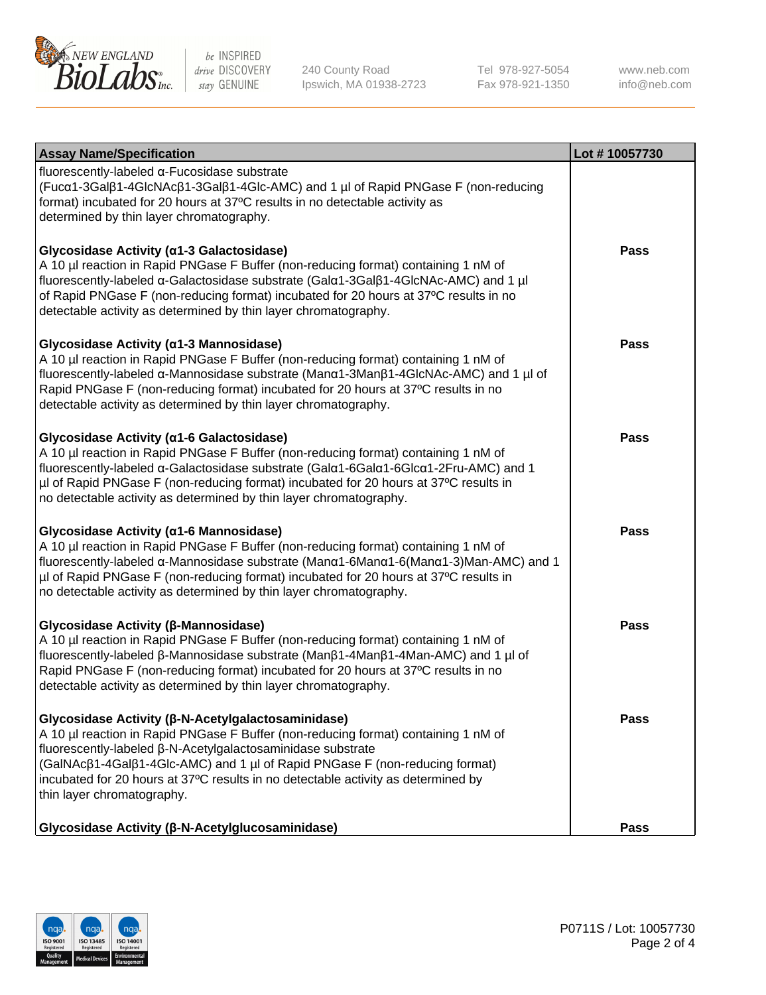

240 County Road Ipswich, MA 01938-2723 Tel 978-927-5054 Fax 978-921-1350

www.neb.com info@neb.com

| <b>Assay Name/Specification</b>                                                                                                                                                                                                                                                                                                                                                                           | Lot #10057730 |
|-----------------------------------------------------------------------------------------------------------------------------------------------------------------------------------------------------------------------------------------------------------------------------------------------------------------------------------------------------------------------------------------------------------|---------------|
| fluorescently-labeled α-Fucosidase substrate<br>(Fucα1-3Galβ1-4GlcNAcβ1-3Galβ1-4Glc-AMC) and 1 µl of Rapid PNGase F (non-reducing<br>format) incubated for 20 hours at 37°C results in no detectable activity as<br>determined by thin layer chromatography.                                                                                                                                              |               |
| Glycosidase Activity (α1-3 Galactosidase)<br>A 10 µl reaction in Rapid PNGase F Buffer (non-reducing format) containing 1 nM of<br>fluorescently-labeled α-Galactosidase substrate (Galα1-3Galβ1-4GlcNAc-AMC) and 1 µl<br>of Rapid PNGase F (non-reducing format) incubated for 20 hours at 37°C results in no<br>detectable activity as determined by thin layer chromatography.                         | <b>Pass</b>   |
| Glycosidase Activity (α1-3 Mannosidase)<br>A 10 µl reaction in Rapid PNGase F Buffer (non-reducing format) containing 1 nM of<br>fluorescently-labeled α-Mannosidase substrate (Manα1-3Manβ1-4GlcNAc-AMC) and 1 µl of<br>Rapid PNGase F (non-reducing format) incubated for 20 hours at 37°C results in no<br>detectable activity as determined by thin layer chromatography.                             | <b>Pass</b>   |
| Glycosidase Activity (a1-6 Galactosidase)<br>A 10 µl reaction in Rapid PNGase F Buffer (non-reducing format) containing 1 nM of<br>fluorescently-labeled α-Galactosidase substrate (Galα1-6Galα1-6Glcα1-2Fru-AMC) and 1<br>µl of Rapid PNGase F (non-reducing format) incubated for 20 hours at 37°C results in<br>no detectable activity as determined by thin layer chromatography.                     | <b>Pass</b>   |
| Glycosidase Activity (α1-6 Mannosidase)<br>A 10 µl reaction in Rapid PNGase F Buffer (non-reducing format) containing 1 nM of<br>fluorescently-labeled α-Mannosidase substrate (Manα1-6Manα1-6(Manα1-3)Man-AMC) and 1<br>µl of Rapid PNGase F (non-reducing format) incubated for 20 hours at 37°C results in<br>no detectable activity as determined by thin layer chromatography.                       | <b>Pass</b>   |
| Glycosidase Activity (β-Mannosidase)<br>A 10 µl reaction in Rapid PNGase F Buffer (non-reducing format) containing 1 nM of<br>fluorescently-labeled β-Mannosidase substrate (Manβ1-4Manβ1-4Man-AMC) and 1 µl of<br>Rapid PNGase F (non-reducing format) incubated for 20 hours at 37°C results in no<br>detectable activity as determined by thin layer chromatography.                                   | <b>Pass</b>   |
| Glycosidase Activity (β-N-Acetylgalactosaminidase)<br>A 10 µl reaction in Rapid PNGase F Buffer (non-reducing format) containing 1 nM of<br>fluorescently-labeled β-N-Acetylgalactosaminidase substrate<br>(GalNAcβ1-4Galβ1-4Glc-AMC) and 1 µl of Rapid PNGase F (non-reducing format)<br>incubated for 20 hours at 37°C results in no detectable activity as determined by<br>thin layer chromatography. | <b>Pass</b>   |
| Glycosidase Activity (β-N-Acetylglucosaminidase)                                                                                                                                                                                                                                                                                                                                                          | <b>Pass</b>   |

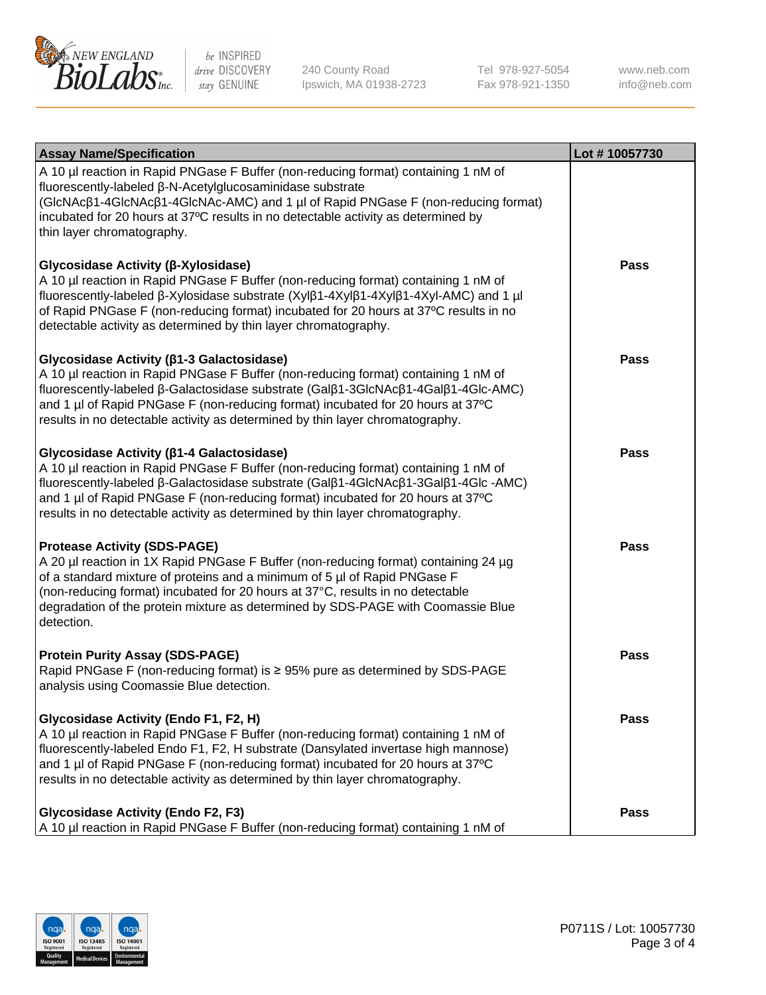

240 County Road Ipswich, MA 01938-2723 Tel 978-927-5054 Fax 978-921-1350 www.neb.com info@neb.com

| <b>Assay Name/Specification</b>                                                                                                                                                                                                                                                                                                                                                             | Lot #10057730 |
|---------------------------------------------------------------------------------------------------------------------------------------------------------------------------------------------------------------------------------------------------------------------------------------------------------------------------------------------------------------------------------------------|---------------|
| A 10 µl reaction in Rapid PNGase F Buffer (non-reducing format) containing 1 nM of<br>fluorescently-labeled β-N-Acetylglucosaminidase substrate<br>(GIcNAcβ1-4GIcNAcβ1-4GIcNAc-AMC) and 1 µl of Rapid PNGase F (non-reducing format)<br>incubated for 20 hours at 37°C results in no detectable activity as determined by<br>thin layer chromatography.                                     |               |
| Glycosidase Activity (β-Xylosidase)<br>A 10 µl reaction in Rapid PNGase F Buffer (non-reducing format) containing 1 nM of<br>fluorescently-labeled β-Xylosidase substrate (Xylβ1-4Xylβ1-4Xylβ1-4Xyl-AMC) and 1 µl<br>of Rapid PNGase F (non-reducing format) incubated for 20 hours at 37°C results in no<br>detectable activity as determined by thin layer chromatography.                | <b>Pass</b>   |
| Glycosidase Activity (β1-3 Galactosidase)<br>A 10 µl reaction in Rapid PNGase F Buffer (non-reducing format) containing 1 nM of<br>fluorescently-labeled β-Galactosidase substrate (Galβ1-3GlcNAcβ1-4Galβ1-4Glc-AMC)<br>and 1 µl of Rapid PNGase F (non-reducing format) incubated for 20 hours at 37°C<br>results in no detectable activity as determined by thin layer chromatography.    | <b>Pass</b>   |
| Glycosidase Activity (β1-4 Galactosidase)<br>A 10 µl reaction in Rapid PNGase F Buffer (non-reducing format) containing 1 nM of<br>fluorescently-labeled β-Galactosidase substrate (Galβ1-4GlcNAcβ1-3Galβ1-4Glc -AMC)<br>and 1 µl of Rapid PNGase F (non-reducing format) incubated for 20 hours at 37°C<br>results in no detectable activity as determined by thin layer chromatography.   | <b>Pass</b>   |
| <b>Protease Activity (SDS-PAGE)</b><br>A 20 µl reaction in 1X Rapid PNGase F Buffer (non-reducing format) containing 24 µg<br>of a standard mixture of proteins and a minimum of 5 µl of Rapid PNGase F<br>(non-reducing format) incubated for 20 hours at 37°C, results in no detectable<br>degradation of the protein mixture as determined by SDS-PAGE with Coomassie Blue<br>detection. | <b>Pass</b>   |
| <b>Protein Purity Assay (SDS-PAGE)</b><br>Rapid PNGase F (non-reducing format) is ≥ 95% pure as determined by SDS-PAGE<br>analysis using Coomassie Blue detection.                                                                                                                                                                                                                          | <b>Pass</b>   |
| Glycosidase Activity (Endo F1, F2, H)<br>A 10 µl reaction in Rapid PNGase F Buffer (non-reducing format) containing 1 nM of<br>fluorescently-labeled Endo F1, F2, H substrate (Dansylated invertase high mannose)<br>and 1 µl of Rapid PNGase F (non-reducing format) incubated for 20 hours at 37°C<br>results in no detectable activity as determined by thin layer chromatography.       | <b>Pass</b>   |
| <b>Glycosidase Activity (Endo F2, F3)</b><br>A 10 µl reaction in Rapid PNGase F Buffer (non-reducing format) containing 1 nM of                                                                                                                                                                                                                                                             | <b>Pass</b>   |